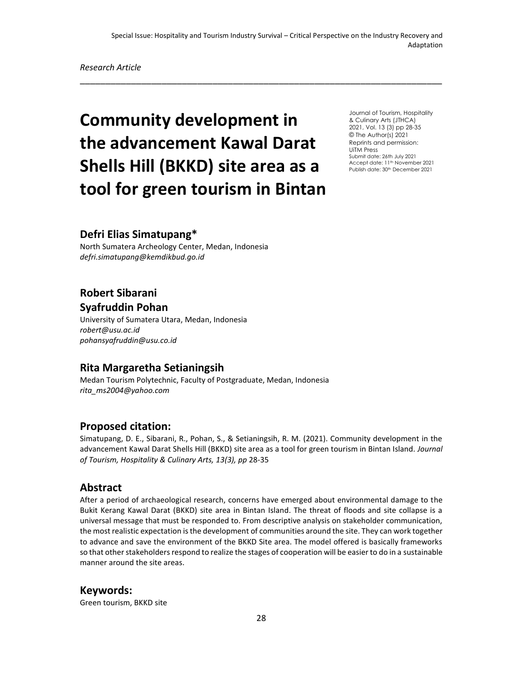\_\_\_\_\_\_\_\_\_\_\_\_\_\_\_\_\_\_\_\_\_\_\_\_\_\_\_\_\_\_\_\_\_\_\_\_\_\_\_\_\_\_\_\_\_\_\_\_\_\_\_\_\_\_\_\_\_\_\_\_\_\_\_\_\_\_\_\_\_\_\_

*Research Article*

# **Community development in the advancement Kawal Darat Shells Hill (BKKD) site area as a tool for green tourism in Bintan**

Journal of Tourism, Hospitality & Culinary Arts (JTHCA) 2021, Vol. 13 (3) pp 28-35 © The Author(s) 2021 Reprints and permission: UiTM Press Submit date: 26th July 2021 Accept date: 11<sup>th</sup> November 2021 Publish date: 30<sup>th</sup> December 2021

## **Defri Elias Simatupang\***

North Sumatera Archeology Center, Medan, Indonesia *[defri.simatupang@kemdikbud.go.id](mailto:defri.simatupang@kemdikbud.go.id)*

# **Robert Sibarani Syafruddin Pohan**

University of Sumatera Utara, Medan, Indonesia *robert@usu.ac.id pohansyafruddin@usu.co.id*

# **Rita Margaretha Setianingsih**

Medan Tourism Polytechnic, Faculty of Postgraduate, Medan, Indonesia *rita\_ms2004@yahoo.com*

### **Proposed citation:**

Simatupang, D. E., Sibarani, R., Pohan, S., & Setianingsih, R. M. (2021). Community development in the advancement Kawal Darat Shells Hill (BKKD) site area as a tool for green tourism in Bintan Island. *Journal of Tourism, Hospitality & Culinary Arts, 13(3), pp* 28-35

### **Abstract**

After a period of archaeological research, concerns have emerged about environmental damage to the Bukit Kerang Kawal Darat (BKKD) site area in Bintan Island. The threat of floods and site collapse is a universal message that must be responded to. From descriptive analysis on stakeholder communication, the most realistic expectation is the development of communities around the site. They can work together to advance and save the environment of the BKKD Site area. The model offered is basically frameworks so that other stakeholders respond to realize the stages of cooperation will be easier to do in a sustainable manner around the site areas.

**Keywords:** 

Green tourism, BKKD site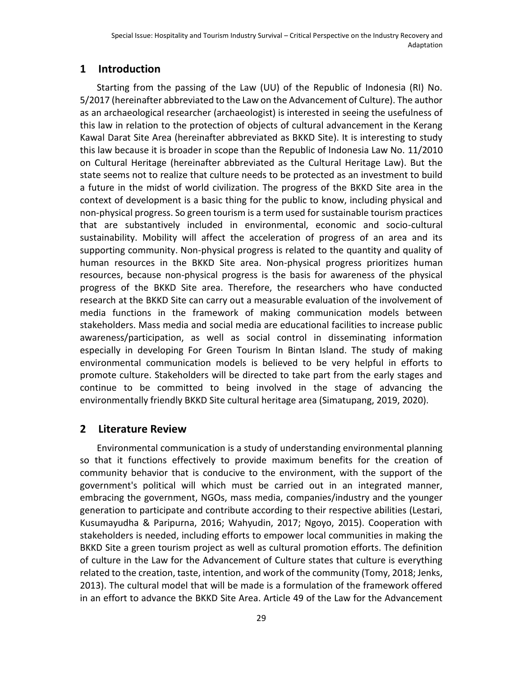# **1 Introduction**

Starting from the passing of the Law (UU) of the Republic of Indonesia (RI) No. 5/2017 (hereinafter abbreviated to the Law on the Advancement of Culture). The author as an archaeological researcher (archaeologist) is interested in seeing the usefulness of this law in relation to the protection of objects of cultural advancement in the Kerang Kawal Darat Site Area (hereinafter abbreviated as BKKD Site). It is interesting to study this law because it is broader in scope than the Republic of Indonesia Law No. 11/2010 on Cultural Heritage (hereinafter abbreviated as the Cultural Heritage Law). But the state seems not to realize that culture needs to be protected as an investment to build a future in the midst of world civilization. The progress of the BKKD Site area in the context of development is a basic thing for the public to know, including physical and non-physical progress. So green tourism is a term used for sustainable tourism practices that are substantively included in environmental, economic and socio-cultural sustainability. Mobility will affect the acceleration of progress of an area and its supporting community. Non-physical progress is related to the quantity and quality of human resources in the BKKD Site area. Non-physical progress prioritizes human resources, because non-physical progress is the basis for awareness of the physical progress of the BKKD Site area. Therefore, the researchers who have conducted research at the BKKD Site can carry out a measurable evaluation of the involvement of media functions in the framework of making communication models between stakeholders. Mass media and social media are educational facilities to increase public awareness/participation, as well as social control in disseminating information especially in developing For Green Tourism In Bintan Island. The study of making environmental communication models is believed to be very helpful in efforts to promote culture. Stakeholders will be directed to take part from the early stages and continue to be committed to being involved in the stage of advancing the environmentally friendly BKKD Site cultural heritage area (Simatupang, 2019, 2020).

# **2 Literature Review**

Environmental communication is a study of understanding environmental planning so that it functions effectively to provide maximum benefits for the creation of community behavior that is conducive to the environment, with the support of the government's political will which must be carried out in an integrated manner, embracing the government, NGOs, mass media, companies/industry and the younger generation to participate and contribute according to their respective abilities (Lestari, Kusumayudha & Paripurna, 2016; Wahyudin, 2017; Ngoyo, 2015). Cooperation with stakeholders is needed, including efforts to empower local communities in making the BKKD Site a green tourism project as well as cultural promotion efforts. The definition of culture in the Law for the Advancement of Culture states that culture is everything related to the creation, taste, intention, and work of the community (Tomy, 2018; Jenks, 2013). The cultural model that will be made is a formulation of the framework offered in an effort to advance the BKKD Site Area. Article 49 of the Law for the Advancement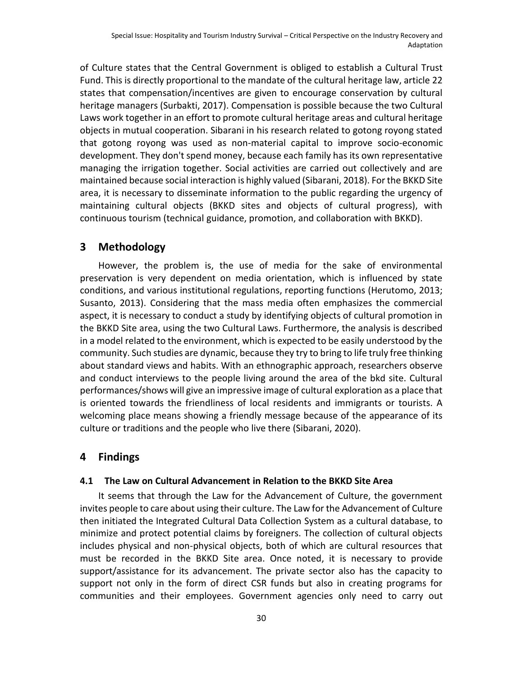of Culture states that the Central Government is obliged to establish a Cultural Trust Fund. This is directly proportional to the mandate of the cultural heritage law, article 22 states that compensation/incentives are given to encourage conservation by cultural heritage managers (Surbakti, 2017). Compensation is possible because the two Cultural Laws work together in an effort to promote cultural heritage areas and cultural heritage objects in mutual cooperation. Sibarani in his research related to gotong royong stated that gotong royong was used as non-material capital to improve socio-economic development. They don't spend money, because each family has its own representative managing the irrigation together. Social activities are carried out collectively and are maintained because social interaction is highly valued (Sibarani, 2018). For the BKKD Site area, it is necessary to disseminate information to the public regarding the urgency of maintaining cultural objects (BKKD sites and objects of cultural progress), with continuous tourism (technical guidance, promotion, and collaboration with BKKD).

#### **3 Methodology**

However, the problem is, the use of media for the sake of environmental preservation is very dependent on media orientation, which is influenced by state conditions, and various institutional regulations, reporting functions (Herutomo, 2013; Susanto, 2013). Considering that the mass media often emphasizes the commercial aspect, it is necessary to conduct a study by identifying objects of cultural promotion in the BKKD Site area, using the two Cultural Laws. Furthermore, the analysis is described in a model related to the environment, which is expected to be easily understood by the community. Such studies are dynamic, because they try to bring to life truly free thinking about standard views and habits. With an ethnographic approach, researchers observe and conduct interviews to the people living around the area of the bkd site. Cultural performances/shows will give an impressive image of cultural exploration as a place that is oriented towards the friendliness of local residents and immigrants or tourists. A welcoming place means showing a friendly message because of the appearance of its culture or traditions and the people who live there (Sibarani, 2020).

### **4 Findings**

#### **4.1 The Law on Cultural Advancement in Relation to the BKKD Site Area**

It seems that through the Law for the Advancement of Culture, the government invites people to care about using their culture. The Law for the Advancement of Culture then initiated the Integrated Cultural Data Collection System as a cultural database, to minimize and protect potential claims by foreigners. The collection of cultural objects includes physical and non-physical objects, both of which are cultural resources that must be recorded in the BKKD Site area. Once noted, it is necessary to provide support/assistance for its advancement. The private sector also has the capacity to support not only in the form of direct CSR funds but also in creating programs for communities and their employees. Government agencies only need to carry out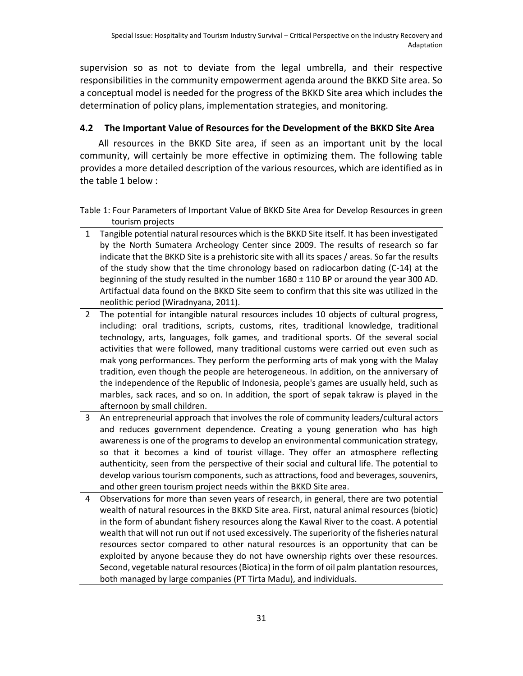supervision so as not to deviate from the legal umbrella, and their respective responsibilities in the community empowerment agenda around the BKKD Site area. So a conceptual model is needed for the progress of the BKKD Site area which includes the determination of policy plans, implementation strategies, and monitoring.

#### **4.2 The Important Value of Resources for the Development of the BKKD Site Area**

All resources in the BKKD Site area, if seen as an important unit by the local community, will certainly be more effective in optimizing them. The following table provides a more detailed description of the various resources, which are identified as in the table 1 below :

Table 1: Four Parameters of Important Value of BKKD Site Area for Develop Resources in green tourism projects

1 Tangible potential natural resources which is the BKKD Site itself. It has been investigated by the North Sumatera Archeology Center since 2009. The results of research so far indicate that the BKKD Site is a prehistoric site with all its spaces / areas. So far the results of the study show that the time chronology based on radiocarbon dating (C-14) at the beginning of the study resulted in the number 1680 ± 110 BP or around the year 300 AD. Artifactual data found on the BKKD Site seem to confirm that this site was utilized in the neolithic period (Wiradnyana, 2011).

2 The potential for intangible natural resources includes 10 objects of cultural progress, including: oral traditions, scripts, customs, rites, traditional knowledge, traditional technology, arts, languages, folk games, and traditional sports. Of the several social activities that were followed, many traditional customs were carried out even such as mak yong performances. They perform the performing arts of mak yong with the Malay tradition, even though the people are heterogeneous. In addition, on the anniversary of the independence of the Republic of Indonesia, people's games are usually held, such as marbles, sack races, and so on. In addition, the sport of sepak takraw is played in the afternoon by small children.

- 3 An entrepreneurial approach that involves the role of community leaders/cultural actors and reduces government dependence. Creating a young generation who has high awareness is one of the programs to develop an environmental communication strategy, so that it becomes a kind of tourist village. They offer an atmosphere reflecting authenticity, seen from the perspective of their social and cultural life. The potential to develop various tourism components, such as attractions, food and beverages, souvenirs, and other green tourism project needs within the BKKD Site area.
- 4 Observations for more than seven years of research, in general, there are two potential wealth of natural resources in the BKKD Site area. First, natural animal resources (biotic) in the form of abundant fishery resources along the Kawal River to the coast. A potential wealth that will not run out if not used excessively. The superiority of the fisheries natural resources sector compared to other natural resources is an opportunity that can be exploited by anyone because they do not have ownership rights over these resources. Second, vegetable natural resources (Biotica) in the form of oil palm plantation resources, both managed by large companies (PT Tirta Madu), and individuals.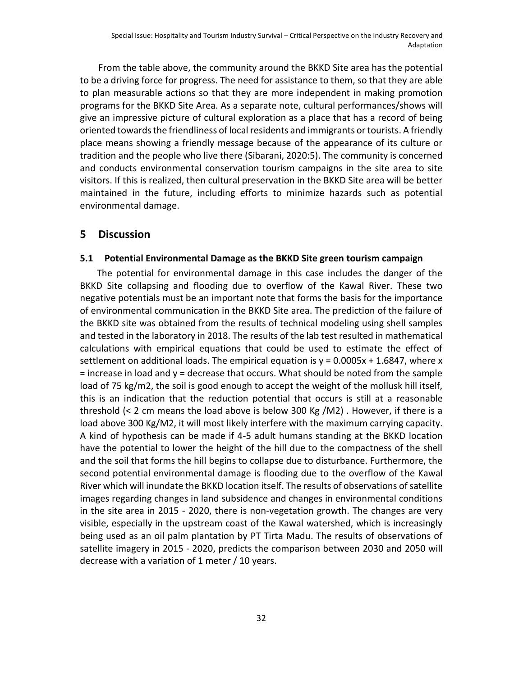From the table above, the community around the BKKD Site area has the potential to be a driving force for progress. The need for assistance to them, so that they are able to plan measurable actions so that they are more independent in making promotion programs for the BKKD Site Area. As a separate note, cultural performances/shows will give an impressive picture of cultural exploration as a place that has a record of being oriented towards the friendliness of local residents and immigrants or tourists. A friendly place means showing a friendly message because of the appearance of its culture or tradition and the people who live there (Sibarani, 2020:5). The community is concerned and conducts environmental conservation tourism campaigns in the site area to site visitors. If this is realized, then cultural preservation in the BKKD Site area will be better maintained in the future, including efforts to minimize hazards such as potential environmental damage.

#### **5 Discussion**

#### **5.1 Potential Environmental Damage as the BKKD Site green tourism campaign**

The potential for environmental damage in this case includes the danger of the BKKD Site collapsing and flooding due to overflow of the Kawal River. These two negative potentials must be an important note that forms the basis for the importance of environmental communication in the BKKD Site area. The prediction of the failure of the BKKD site was obtained from the results of technical modeling using shell samples and tested in the laboratory in 2018. The results of the lab test resulted in mathematical calculations with empirical equations that could be used to estimate the effect of settlement on additional loads. The empirical equation is  $y = 0.0005x + 1.6847$ , where x = increase in load and y = decrease that occurs. What should be noted from the sample load of 75 kg/m2, the soil is good enough to accept the weight of the mollusk hill itself, this is an indication that the reduction potential that occurs is still at a reasonable threshold (< 2 cm means the load above is below 300 Kg /M2) . However, if there is a load above 300 Kg/M2, it will most likely interfere with the maximum carrying capacity. A kind of hypothesis can be made if 4-5 adult humans standing at the BKKD location have the potential to lower the height of the hill due to the compactness of the shell and the soil that forms the hill begins to collapse due to disturbance. Furthermore, the second potential environmental damage is flooding due to the overflow of the Kawal River which will inundate the BKKD location itself. The results of observations of satellite images regarding changes in land subsidence and changes in environmental conditions in the site area in 2015 - 2020, there is non-vegetation growth. The changes are very visible, especially in the upstream coast of the Kawal watershed, which is increasingly being used as an oil palm plantation by PT Tirta Madu. The results of observations of satellite imagery in 2015 - 2020, predicts the comparison between 2030 and 2050 will decrease with a variation of 1 meter / 10 years.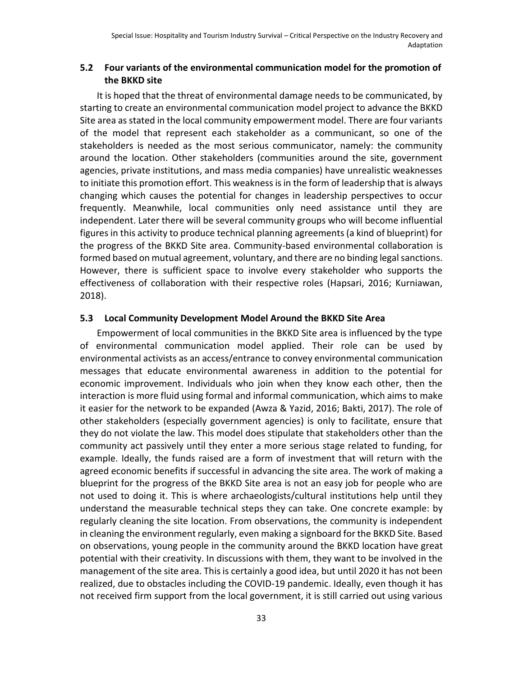#### **5.2 Four variants of the environmental communication model for the promotion of the BKKD site**

It is hoped that the threat of environmental damage needs to be communicated, by starting to create an environmental communication model project to advance the BKKD Site area as stated in the local community empowerment model. There are four variants of the model that represent each stakeholder as a communicant, so one of the stakeholders is needed as the most serious communicator, namely: the community around the location. Other stakeholders (communities around the site, government agencies, private institutions, and mass media companies) have unrealistic weaknesses to initiate this promotion effort. This weakness is in the form of leadership that is always changing which causes the potential for changes in leadership perspectives to occur frequently. Meanwhile, local communities only need assistance until they are independent. Later there will be several community groups who will become influential figures in this activity to produce technical planning agreements (a kind of blueprint) for the progress of the BKKD Site area. Community-based environmental collaboration is formed based on mutual agreement, voluntary, and there are no binding legal sanctions. However, there is sufficient space to involve every stakeholder who supports the effectiveness of collaboration with their respective roles (Hapsari, 2016; Kurniawan, 2018).

#### **5.3 Local Community Development Model Around the BKKD Site Area**

Empowerment of local communities in the BKKD Site area is influenced by the type of environmental communication model applied. Their role can be used by environmental activists as an access/entrance to convey environmental communication messages that educate environmental awareness in addition to the potential for economic improvement. Individuals who join when they know each other, then the interaction is more fluid using formal and informal communication, which aims to make it easier for the network to be expanded (Awza & Yazid, 2016; Bakti, 2017). The role of other stakeholders (especially government agencies) is only to facilitate, ensure that they do not violate the law. This model does stipulate that stakeholders other than the community act passively until they enter a more serious stage related to funding, for example. Ideally, the funds raised are a form of investment that will return with the agreed economic benefits if successful in advancing the site area. The work of making a blueprint for the progress of the BKKD Site area is not an easy job for people who are not used to doing it. This is where archaeologists/cultural institutions help until they understand the measurable technical steps they can take. One concrete example: by regularly cleaning the site location. From observations, the community is independent in cleaning the environment regularly, even making a signboard for the BKKD Site. Based on observations, young people in the community around the BKKD location have great potential with their creativity. In discussions with them, they want to be involved in the management of the site area. This is certainly a good idea, but until 2020 it has not been realized, due to obstacles including the COVID-19 pandemic. Ideally, even though it has not received firm support from the local government, it is still carried out using various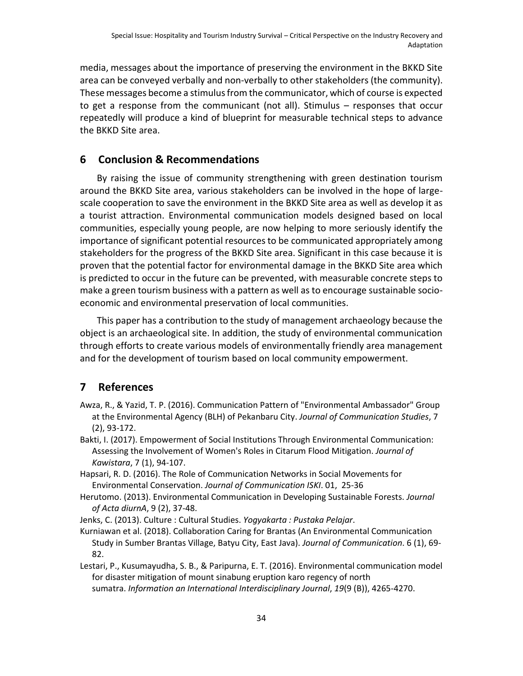media, messages about the importance of preserving the environment in the BKKD Site area can be conveyed verbally and non-verbally to other stakeholders (the community). These messages become a stimulus from the communicator, which of course is expected to get a response from the communicant (not all). Stimulus – responses that occur repeatedly will produce a kind of blueprint for measurable technical steps to advance the BKKD Site area.

## **6 Conclusion & Recommendations**

By raising the issue of community strengthening with green destination tourism around the BKKD Site area, various stakeholders can be involved in the hope of largescale cooperation to save the environment in the BKKD Site area as well as develop it as a tourist attraction. Environmental communication models designed based on local communities, especially young people, are now helping to more seriously identify the importance of significant potential resources to be communicated appropriately among stakeholders for the progress of the BKKD Site area. Significant in this case because it is proven that the potential factor for environmental damage in the BKKD Site area which is predicted to occur in the future can be prevented, with measurable concrete steps to make a green tourism business with a pattern as well as to encourage sustainable socioeconomic and environmental preservation of local communities.

This paper has a contribution to the study of management archaeology because the object is an archaeological site. In addition, the study of environmental communication through efforts to create various models of environmentally friendly area management and for the development of tourism based on local community empowerment.

# **7 References**

- Awza, R., & Yazid, T. P. (2016). Communication Pattern of "Environmental Ambassador" Group at the Environmental Agency (BLH) of Pekanbaru City. *Journal of Communication Studies*, 7 (2), 93-172.
- Bakti, I. (2017). Empowerment of Social Institutions Through Environmental Communication: Assessing the Involvement of Women's Roles in Citarum Flood Mitigation. *Journal of Kawistara*, 7 (1), 94-107.
- Hapsari, R. D. (2016). The Role of Communication Networks in Social Movements for Environmental Conservation. *Journal of Communication ISKI*. 01, 25-36
- Herutomo. (2013). Environmental Communication in Developing Sustainable Forests. *Journal of Acta diurnA*, 9 (2), 37-48.

Jenks, C. (2013). Culture : Cultural Studies. *Yogyakarta : Pustaka Pelajar*.

- Kurniawan et al. (2018). Collaboration Caring for Brantas (An Environmental Communication Study in Sumber Brantas Village, Batyu City, East Java). *Journal of Communication*. 6 (1), 69- 82.
- Lestari, P., Kusumayudha, S. B., & Paripurna, E. T. (2016). Environmental communication model for disaster mitigation of mount sinabung eruption karo regency of north sumatra. *Information an International Interdisciplinary Journal*, *19*(9 (B)), 4265-4270.